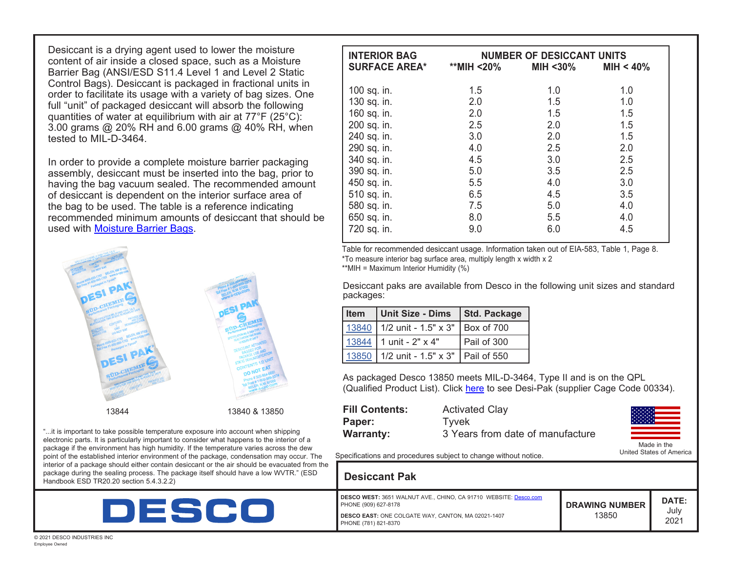Desiccant is a drying agent used to lower the moisture content of air inside a closed space, such as a Moisture Barrier Bag (ANSI/ESD S11.4 Level 1 and Level 2 Static Control Bags). Desiccant is packaged in fractional units in order to facilitate its usage with a variety of bag sizes. One full "unit" of packaged desiccant will absorb the following quantities of water at equilibrium with air at 77°F (25°C): 3.00 grams @ 20% RH and 6.00 grams @ 40% RH, when tested to MIL-D-3464.

In order to provide a complete moisture barrier packaging assembly, desiccant must be inserted into the bag, prior to having the bag vacuum sealed. The recommended amount of desiccant is dependent on the interior surface area of the bag to be used. The table is a reference indicating recommended minimum amounts of desiccant that should be used with [Moisture Barrier Bags](http://desco.descoindustries.com/DescoCatalog/Packaging/StatshieldMoistureBarrierBags/).



"...it is important to take possible temperature exposure into account when shipping electronic parts. It is particularly important to consider what happens to the interior of a package if the environment has high humidity. If the temperature varies across the dew point of the established interior environment of the package, condensation may occur. The interior of a package should either contain desiccant or the air should be evacuated from the package during the sealing process. The package itself should have a low WVTR." (ESD Handbook ESD TR20.20 section 5.4.3.2.2)



| <b>INTERIOR BAG</b>  | <b>NUMBER OF DESICCANT UNITS</b> |          |              |
|----------------------|----------------------------------|----------|--------------|
| <b>SURFACE AREA*</b> | **MIH <20%                       | MIH <30% | MIH < $40\%$ |
| 100 sq. in.          | 1.5                              | 1.0      | 1.0          |
| 130 sq. in.          | 2.0                              | 1.5      | 1.0          |
| 160 sq. in.          | 2.0                              | 1.5      | 1.5          |
| 200 sq. in.          | 2.5                              | 2.0      | 1.5          |
| 240 sq. in.          | 3.0                              | 2.0      | 1.5          |
| 290 sq. in.          | 4.0                              | 2.5      | 2.0          |
| 340 sq. in.          | 4.5                              | 3.0      | 2.5          |
| 390 sq. in.          | 5.0                              | 3.5      | 2.5          |
| 450 sq. in.          | 5.5                              | 4.0      | 3.0          |
| 510 sq. in.          | 6.5                              | 4.5      | 3.5          |
| 580 sq. in.          | 7.5                              | 5.0      | 4.0          |
| 650 sq. in.          | 8.0                              | 5.5      | 4.0          |
| 720 sq. in.          | 9.0                              | 6.0      | 4.5          |

Table for recommended desiccant usage. Information taken out of EIA-583, Table 1, Page 8. \*To measure interior bag surface area, multiply length x width x 2 \*\*MIH = Maximum Interior Humidity (%)

Desiccant paks are available from Desco in the following unit sizes and standard packages:

| Item   Unit Size - Dims   Std. Package   |             |
|------------------------------------------|-------------|
| 13840 1/2 unit - 1.5" x 3"   Box of 700  |             |
| $13844$ 1 unit - 2" x 4"                 | Pail of 300 |
| 13850 1/2 unit - 1.5" x 3"   Pail of 550 |             |

As packaged Desco 13850 meets MIL-D-3464, Type II and is on the QPL (Qualified Product List). Click [here](http://qpldocs.dla.mil/search/parts.aspx?qpl=1522) to see Desi-Pak (supplier Cage Code 00334).

| <b>Fill Contents:</b> | <b>Activated Clay</b>            |
|-----------------------|----------------------------------|
| Paper:                | Tvvek                            |
| <b>Warranty:</b>      | 3 Years from date of manufacture |



Specifications and procedures subject to change without notice.

| e<br><b>Desiccant Pak</b>                                                                                                                                                     |                                |                       |
|-------------------------------------------------------------------------------------------------------------------------------------------------------------------------------|--------------------------------|-----------------------|
| DESCO WEST: 3651 WALNUT AVE., CHINO, CA 91710 WEBSITE: Desco.com<br>PHONE (909) 627-8178<br><b>DESCO EAST: ONE COLGATE WAY, CANTON, MA 02021-1407</b><br>PHONE (781) 821-8370 | <b>DRAWING NUMBER</b><br>13850 | DATE:<br>July<br>2021 |

© 2021 DESCO INDUSTRIES INC Employee Owned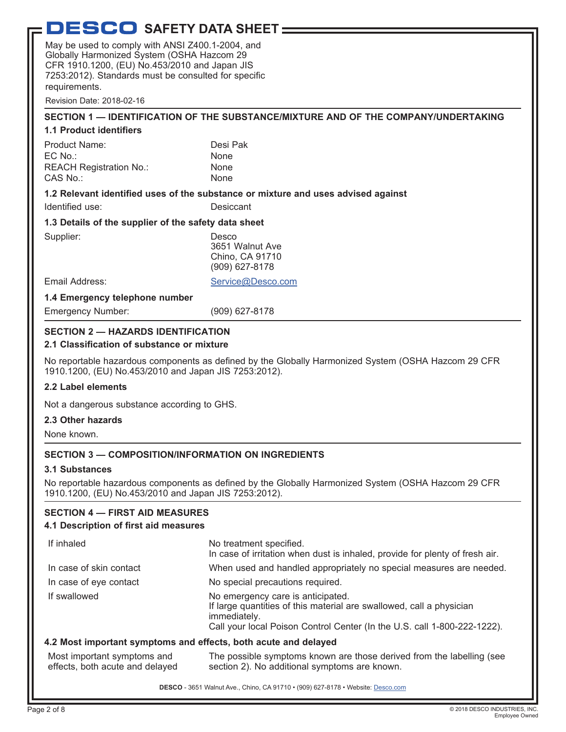# **DESCO** SAFETY DATA SHEET -

May be used to comply with ANSI Z400.1-2004, and Globally Harmonized System (OSHA Hazcom 29 CFR 1910.1200, (EU) No.453/2010 and Japan JIS 7253:2012). Standards must be consulted for specific requirements.

Revision Date: 2018-02-16

## **SECTION 1 — IDENTIFICATION OF THE SUBSTANCE/MIXTURE AND OF THE COMPANY/UNDERTAKING**

#### **1.1 Product identifiers**

| Product Name:                  | Desi Pak    |
|--------------------------------|-------------|
| $EC$ No.:                      | <b>None</b> |
| <b>REACH Registration No.:</b> | <b>None</b> |
| CAS No.:                       | <b>None</b> |

#### **1.2 Relevant identified uses of the substance or mixture and uses advised against**

Identified use: Desiccant

### **1.3 Details of the supplier of the safety data sheet**

| Supplier:                      | Desco<br>3651 Walnut Ave<br>Chino, CA 91710<br>(909) 627-8178 |
|--------------------------------|---------------------------------------------------------------|
| Email Address:                 | Service@Desco.com                                             |
| 1.4 Emergency telephone number |                                                               |
| <b>Emergency Number:</b>       | (909) 627-8178                                                |
|                                |                                                               |

# **SECTION 2 — HAZARDS IDENTIFICATION**

### **2.1 Classification of substance or mixture**

No reportable hazardous components as defined by the Globally Harmonized System (OSHA Hazcom 29 CFR 1910.1200, (EU) No.453/2010 and Japan JIS 7253:2012).

### **2.2 Label elements**

Not a dangerous substance according to GHS.

### **2.3 Other hazards**

None known.

# **SECTION 3 — COMPOSITION/INFORMATION ON INGREDIENTS**

### **3.1 Substances**

No reportable hazardous components as defined by the Globally Harmonized System (OSHA Hazcom 29 CFR 1910.1200, (EU) No.453/2010 and Japan JIS 7253:2012).

### **SECTION 4 — FIRST AID MEASURES**

### **4.1 Description of first aid measures**

| If inhaled              | No treatment specified.<br>In case of irritation when dust is inhaled, provide for plenty of fresh air.                                                                                               |
|-------------------------|-------------------------------------------------------------------------------------------------------------------------------------------------------------------------------------------------------|
| In case of skin contact | When used and handled appropriately no special measures are needed.                                                                                                                                   |
| In case of eye contact  | No special precautions required.                                                                                                                                                                      |
| If swallowed            | No emergency care is anticipated.<br>If large quantities of this material are swallowed, call a physician<br>immediately.<br>Call your local Poison Control Center (In the U.S. call 1-800-222-1222). |
|                         | .                                                                                                                                                                                                     |

### **4.2 Most important symptoms and effects, both acute and delayed**

| Most important symptoms and     | The possible symptoms known are those derived from the labelling (see |
|---------------------------------|-----------------------------------------------------------------------|
| effects, both acute and delayed | section 2). No additional symptoms are known.                         |

**DESCO** - 3651 Walnut Ave., Chino, CA 91710 • (909) 627-8178 • Website: [Desco.com](http://www.desco.com)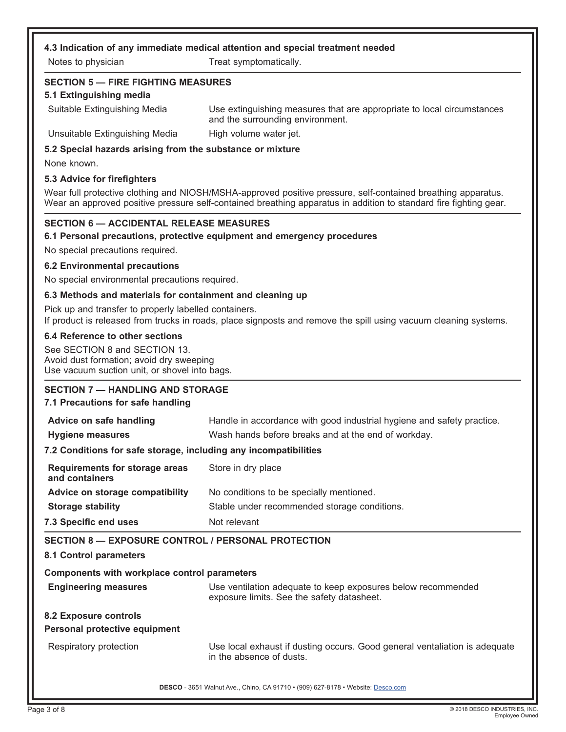#### **4.3 Indication of any immediate medical attention and special treatment needed**

Notes to physician Treat symptomatically.

## **SECTION 5 — FIRE FIGHTING MEASURES**

#### **5.1 Extinguishing media**

Suitable Extinguishing Media Use extinguishing measures that are appropriate to local circumstances and the surrounding environment.

Unsuitable Extinguishing Media High volume water jet.

### **5.2 Special hazards arising from the substance or mixture**

None known.

#### **5.3 Advice for firefighters**

Wear full protective clothing and NIOSH/MSHA-approved positive pressure, self-contained breathing apparatus. Wear an approved positive pressure self-contained breathing apparatus in addition to standard fire fighting gear.

### **SECTION 6 — ACCIDENTAL RELEASE MEASURES**

#### **6.1 Personal precautions, protective equipment and emergency procedures**

No special precautions required.

#### **6.2 Environmental precautions**

No special environmental precautions required.

#### **6.3 Methods and materials for containment and cleaning up**

Pick up and transfer to properly labelled containers. If product is released from trucks in roads, place signposts and remove the spill using vacuum cleaning systems.

#### **6.4 Reference to other sections**

See SECTION 8 and SECTION 13. Avoid dust formation; avoid dry sweeping Use vacuum suction unit, or shovel into bags.

### **SECTION 7 — HANDLING AND STORAGE**

#### **7.1 Precautions for safe handling**

| Advice on safe handling                                          | Handle in accordance with good industrial hygiene and safety practice.                                     |  |
|------------------------------------------------------------------|------------------------------------------------------------------------------------------------------------|--|
| <b>Hygiene measures</b>                                          | Wash hands before breaks and at the end of workday.                                                        |  |
| 7.2 Conditions for safe storage, including any incompatibilities |                                                                                                            |  |
| Requirements for storage areas<br>and containers                 | Store in dry place                                                                                         |  |
| Advice on storage compatibility                                  | No conditions to be specially mentioned.                                                                   |  |
| <b>Storage stability</b>                                         | Stable under recommended storage conditions.                                                               |  |
| 7.3 Specific end uses                                            | Not relevant                                                                                               |  |
| <b>SECTION 8 - EXPOSURE CONTROL / PERSONAL PROTECTION</b>        |                                                                                                            |  |
| 8.1 Control parameters                                           |                                                                                                            |  |
| Components with workplace control parameters                     |                                                                                                            |  |
| <b>Engineering measures</b>                                      | Use ventilation adequate to keep exposures below recommended<br>exposure limits. See the safety datasheet. |  |
| 8.2 Exposure controls<br>Personal protective equipment           |                                                                                                            |  |
| Respiratory protection                                           | Use local exhaust if dusting occurs. Good general ventaliation is adequate<br>in the absence of dusts.     |  |
|                                                                  | DESCO - 3651 Walnut Ave., Chino, CA 91710 · (909) 627-8178 · Website: Desco.com                            |  |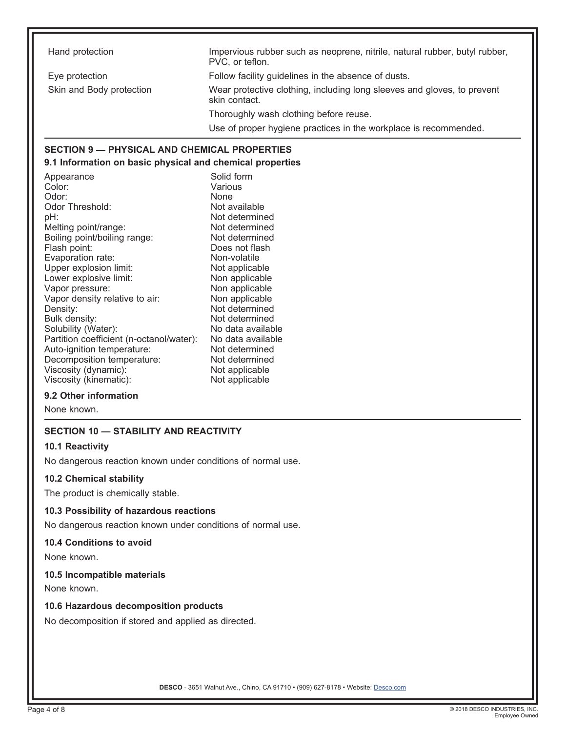Hand protection **Impervious rubber such as neoprene, nitrile, natural rubber, butyl rubber,** butyl rubber, PVC, or teflon. Eye protection Follow facility guidelines in the absence of dusts. Skin and Body protection Wear protective clothing, including long sleeves and gloves, to prevent skin contact. Thoroughly wash clothing before reuse. Use of proper hygiene practices in the workplace is recommended. **SECTION 9 — PHYSICAL AND CHEMICAL PROPERTIES**

# **9.1 Information on basic physical and chemical properties**

Appearance Solid form Color: Various<br>
Odor: None Odor: Odor Threshold: Not available pH:  $\blacksquare$ <br>Melting point/range:  $\blacksquare$  Not determined Melting point/range: Boiling point/boiling range: Not determined Flash point: Does not flash<br>
Evaporation rate: Non-volatile<br>
Does not flash Evaporation rate: Upper explosion limit: Not applicable Lower explosive limit: Non applicable<br>
Vapor pressure: Non applicable Vapor pressure: Vapor density relative to air: Non applicable Density: Not determined<br>Bulk density: Not determined Solubility (Water): No data available Partition coefficient (n-octanol/water): No data available Auto-ignition temperature: Decomposition temperature: Not determined Viscosity (dynamic): Not applicable<br>Viscosity (kinematic): Not applicable Viscosity (kinematic):

Not determined

### **9.2 Other information**

None known.

# **SECTION 10 — STABILITY AND REACTIVITY**

#### **10.1 Reactivity**

No dangerous reaction known under conditions of normal use.

#### **10.2 Chemical stability**

The product is chemically stable.

#### **10.3 Possibility of hazardous reactions**

No dangerous reaction known under conditions of normal use.

#### **10.4 Conditions to avoid**

None known.

### **10.5 Incompatible materials**

None known.

#### **10.6 Hazardous decomposition products**

No decomposition if stored and applied as directed.

**DESCO** - 3651 Walnut Ave., Chino, CA 91710 • (909) 627-8178 • Website: [Desco.com](http://www.desco.com)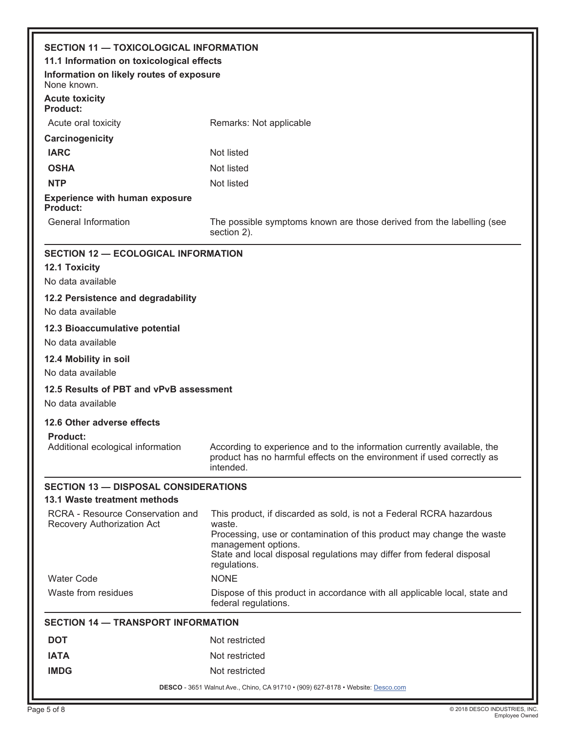| <b>SECTION 11 - TOXICOLOGICAL INFORMATION</b>                  |                                                                                                                                                                                                                                                                        |  |
|----------------------------------------------------------------|------------------------------------------------------------------------------------------------------------------------------------------------------------------------------------------------------------------------------------------------------------------------|--|
| 11.1 Information on toxicological effects                      |                                                                                                                                                                                                                                                                        |  |
| Information on likely routes of exposure<br>None known.        |                                                                                                                                                                                                                                                                        |  |
| <b>Acute toxicity</b><br><b>Product:</b>                       |                                                                                                                                                                                                                                                                        |  |
| Acute oral toxicity                                            | Remarks: Not applicable                                                                                                                                                                                                                                                |  |
| Carcinogenicity                                                |                                                                                                                                                                                                                                                                        |  |
| <b>IARC</b>                                                    | Not listed                                                                                                                                                                                                                                                             |  |
| <b>OSHA</b>                                                    | Not listed                                                                                                                                                                                                                                                             |  |
| <b>NTP</b>                                                     | Not listed                                                                                                                                                                                                                                                             |  |
| <b>Experience with human exposure</b><br>Product:              |                                                                                                                                                                                                                                                                        |  |
| General Information                                            | The possible symptoms known are those derived from the labelling (see<br>section 2).                                                                                                                                                                                   |  |
| <b>SECTION 12 - ECOLOGICAL INFORMATION</b>                     |                                                                                                                                                                                                                                                                        |  |
| <b>12.1 Toxicity</b>                                           |                                                                                                                                                                                                                                                                        |  |
| No data available                                              |                                                                                                                                                                                                                                                                        |  |
| 12.2 Persistence and degradability                             |                                                                                                                                                                                                                                                                        |  |
| No data available                                              |                                                                                                                                                                                                                                                                        |  |
| 12.3 Bioaccumulative potential                                 |                                                                                                                                                                                                                                                                        |  |
| No data available                                              |                                                                                                                                                                                                                                                                        |  |
| 12.4 Mobility in soil                                          |                                                                                                                                                                                                                                                                        |  |
| No data available                                              |                                                                                                                                                                                                                                                                        |  |
| 12.5 Results of PBT and vPvB assessment                        |                                                                                                                                                                                                                                                                        |  |
| No data available                                              |                                                                                                                                                                                                                                                                        |  |
| 12.6 Other adverse effects                                     |                                                                                                                                                                                                                                                                        |  |
| <b>Product:</b><br>Additional ecological information           | According to experience and to the information currently available, the<br>product has no harmful effects on the environment if used correctly as<br>intended.                                                                                                         |  |
| <b>SECTION 13 - DISPOSAL CONSIDERATIONS</b>                    |                                                                                                                                                                                                                                                                        |  |
| 13.1 Waste treatment methods                                   |                                                                                                                                                                                                                                                                        |  |
| RCRA - Resource Conservation and<br>Recovery Authorization Act | This product, if discarded as sold, is not a Federal RCRA hazardous<br>waste.<br>Processing, use or contamination of this product may change the waste<br>management options.<br>State and local disposal regulations may differ from federal disposal<br>regulations. |  |
| <b>Water Code</b>                                              | <b>NONE</b>                                                                                                                                                                                                                                                            |  |
| Waste from residues                                            | Dispose of this product in accordance with all applicable local, state and<br>federal regulations.                                                                                                                                                                     |  |
| <b>SECTION 14 - TRANSPORT INFORMATION</b>                      |                                                                                                                                                                                                                                                                        |  |
| <b>DOT</b>                                                     | Not restricted                                                                                                                                                                                                                                                         |  |
| <b>IATA</b>                                                    | Not restricted                                                                                                                                                                                                                                                         |  |
| <b>IMDG</b>                                                    | Not restricted                                                                                                                                                                                                                                                         |  |
|                                                                | DESCO - 3651 Walnut Ave., Chino, CA 91710 • (909) 627-8178 • Website: Desco.com                                                                                                                                                                                        |  |